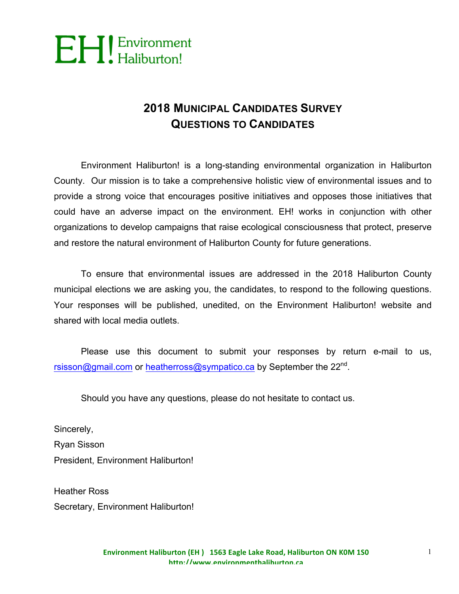

### **2018 MUNICIPAL CANDIDATES SURVEY QUESTIONS TO CANDIDATES**

Environment Haliburton! is a long-standing environmental organization in Haliburton County. Our mission is to take a comprehensive holistic view of environmental issues and to provide a strong voice that encourages positive initiatives and opposes those initiatives that could have an adverse impact on the environment. EH! works in conjunction with other organizations to develop campaigns that raise ecological consciousness that protect, preserve and restore the natural environment of Haliburton County for future generations.

To ensure that environmental issues are addressed in the 2018 Haliburton County municipal elections we are asking you, the candidates, to respond to the following questions. Your responses will be published, unedited, on the Environment Haliburton! website and shared with local media outlets.

Please use this document to submit your responses by return e-mail to us, rsisson@gmail.com or heatherross@sympatico.ca by September the 22<sup>nd</sup>.

Should you have any questions, please do not hesitate to contact us.

Sincerely, Ryan Sisson President, Environment Haliburton!

Heather Ross Secretary, Environment Haliburton!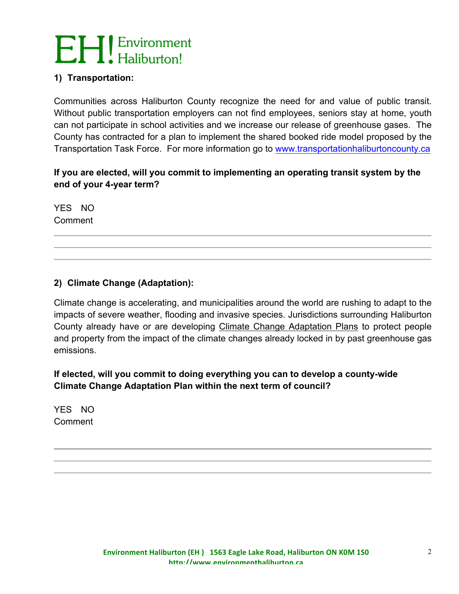#### **1) Transportation:**

Communities across Haliburton County recognize the need for and value of public transit. Without public transportation employers can not find employees, seniors stay at home, youth can not participate in school activities and we increase our release of greenhouse gases. The County has contracted for a plan to implement the shared booked ride model proposed by the Transportation Task Force. For more information go to www.transportationhaliburtoncounty.ca

#### **If you are elected, will you commit to implementing an operating transit system by the end of your 4-year term?**

YES NO Comment

#### **2) Climate Change (Adaptation):**

Climate change is accelerating, and municipalities around the world are rushing to adapt to the impacts of severe weather, flooding and invasive species. Jurisdictions surrounding Haliburton County already have or are developing Climate Change Adaptation Plans to protect people and property from the impact of the climate changes already locked in by past greenhouse gas emissions.

**If elected, will you commit to doing everything you can to develop a county-wide Climate Change Adaptation Plan within the next term of council?**

YES NO Comment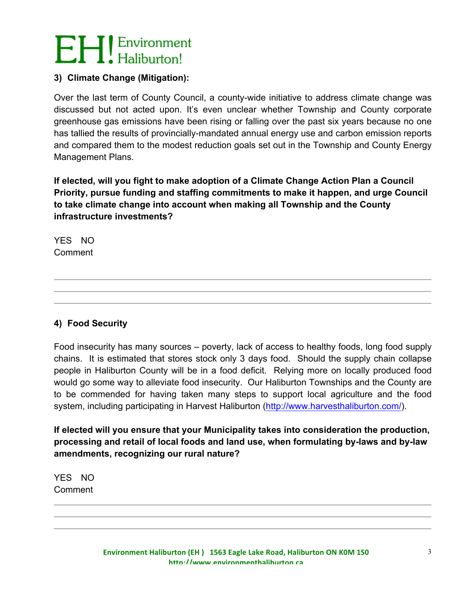#### **3) Climate Change (Mitigation):**

Over the last term of County Council, a county-wide initiative to address climate change was discussed but not acted upon. It's even unclear whether Township and County corporate greenhouse gas emissions have been rising or falling over the past six years because no one has tallied the results of provincially-mandated annual energy use and carbon emission reports and compared them to the modest reduction goals set out in the Township and County Energy Management Plans.

**If elected, will you fight to make adoption of a Climate Change Action Plan a Council Priority, pursue funding and staffing commitments to make it happen, and urge Council to take climate change into account when making all Township and the County infrastructure investments?**

YES NO Comment

#### **4) Food Security**

Food insecurity has many sources – poverty, lack of access to healthy foods, long food supply chains. It is estimated that stores stock only 3 days food. Should the supply chain collapse people in Haliburton County will be in a food deficit. Relying more on locally produced food would go some way to alleviate food insecurity. Our Haliburton Townships and the County are to be commended for having taken many steps to support local agriculture and the food system, including participating in Harvest Haliburton (http://www.harvesthaliburton.com/).

**If elected will you ensure that your Municipality takes into consideration the production, processing and retail of local foods and land use, when formulating by-laws and by-law amendments, recognizing our rural nature?**

YES NO Comment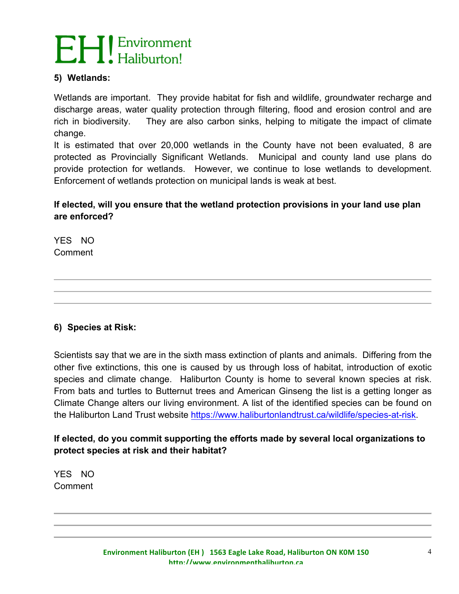#### **5) Wetlands:**

Wetlands are important. They provide habitat for fish and wildlife, groundwater recharge and discharge areas, water quality protection through filtering, flood and erosion control and are rich in biodiversity. They are also carbon sinks, helping to mitigate the impact of climate change.

It is estimated that over 20,000 wetlands in the County have not been evaluated, 8 are protected as Provincially Significant Wetlands. Municipal and county land use plans do provide protection for wetlands. However, we continue to lose wetlands to development. Enforcement of wetlands protection on municipal lands is weak at best.

#### **If elected, will you ensure that the wetland protection provisions in your land use plan are enforced?**

YES NO Comment

#### **6) Species at Risk:**

Scientists say that we are in the sixth mass extinction of plants and animals. Differing from the other five extinctions, this one is caused by us through loss of habitat, introduction of exotic species and climate change. Haliburton County is home to several known species at risk. From bats and turtles to Butternut trees and American Ginseng the list is a getting longer as Climate Change alters our living environment. A list of the identified species can be found on the Haliburton Land Trust website https://www.haliburtonlandtrust.ca/wildlife/species-at-risk.

#### **If elected, do you commit supporting the efforts made by several local organizations to protect species at risk and their habitat?**

YES NO Comment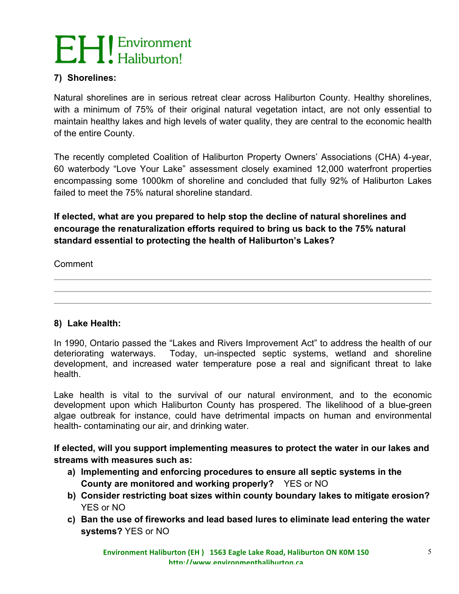#### **7) Shorelines:**

Natural shorelines are in serious retreat clear across Haliburton County. Healthy shorelines, with a minimum of 75% of their original natural vegetation intact, are not only essential to maintain healthy lakes and high levels of water quality, they are central to the economic health of the entire County.

The recently completed Coalition of Haliburton Property Owners' Associations (CHA) 4-year, 60 waterbody "Love Your Lake" assessment closely examined 12,000 waterfront properties encompassing some 1000km of shoreline and concluded that fully 92% of Haliburton Lakes failed to meet the 75% natural shoreline standard.

#### **If elected, what are you prepared to help stop the decline of natural shorelines and encourage the renaturalization efforts required to bring us back to the 75% natural standard essential to protecting the health of Haliburton's Lakes?**

Comment

#### **8) Lake Health:**

In 1990, Ontario passed the "Lakes and Rivers Improvement Act" to address the health of our deteriorating waterways. Today, un-inspected septic systems, wetland and shoreline development, and increased water temperature pose a real and significant threat to lake health.

Lake health is vital to the survival of our natural environment, and to the economic development upon which Haliburton County has prospered. The likelihood of a blue-green algae outbreak for instance, could have detrimental impacts on human and environmental health- contaminating our air, and drinking water.

**If elected, will you support implementing measures to protect the water in our lakes and streams with measures such as:**

- **a) Implementing and enforcing procedures to ensure all septic systems in the County are monitored and working properly?** YES or NO
- **b) Consider restricting boat sizes within county boundary lakes to mitigate erosion?**  YES or NO
- **c) Ban the use of fireworks and lead based lures to eliminate lead entering the water systems?** YES or NO